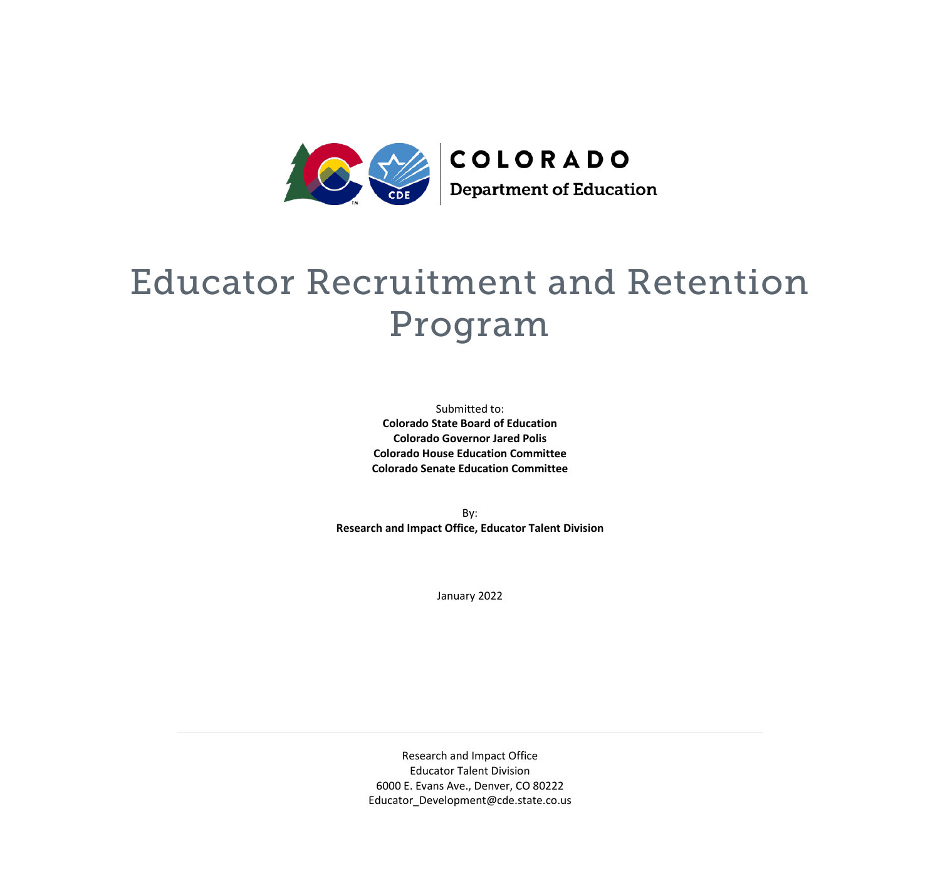

# Educator Recruitment and Retention Program

Submitted to: **Colorado State Board of Education Colorado Governor Jared Polis Colorado House Education Committee Colorado Senate Education Committee**

By: **Research and Impact Office, Educator Talent Division**

January 2022

Research and Impact Office Educator Talent Division 6000 E. Evans Ave., Denver, CO 80222 Educator\_Development@cde.state.co.us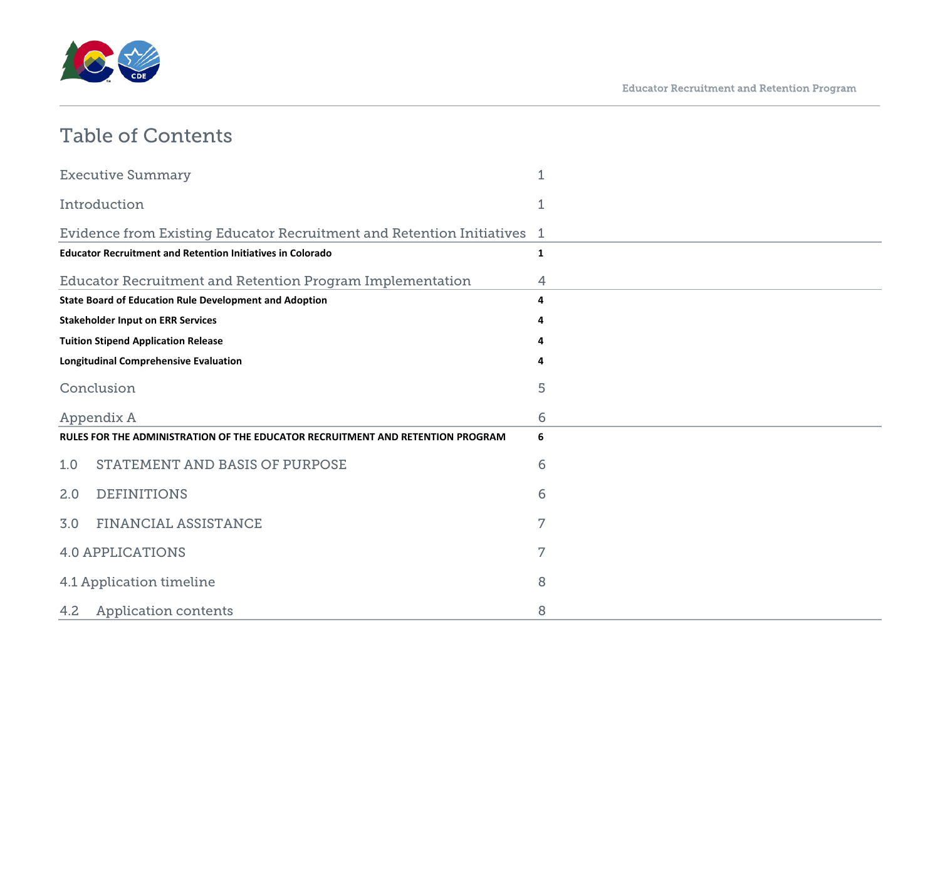

# Table of Contents

| <b>Executive Summary</b>                                                       |                                                                         |   |  |
|--------------------------------------------------------------------------------|-------------------------------------------------------------------------|---|--|
| Introduction                                                                   |                                                                         | 1 |  |
|                                                                                | Evidence from Existing Educator Recruitment and Retention Initiatives 1 |   |  |
| <b>Educator Recruitment and Retention Initiatives in Colorado</b>              |                                                                         | 1 |  |
| <b>Educator Recruitment and Retention Program Implementation</b>               |                                                                         | 4 |  |
| <b>State Board of Education Rule Development and Adoption</b>                  |                                                                         | 4 |  |
| <b>Stakeholder Input on ERR Services</b>                                       |                                                                         |   |  |
| <b>Tuition Stipend Application Release</b>                                     |                                                                         |   |  |
| <b>Longitudinal Comprehensive Evaluation</b>                                   |                                                                         |   |  |
| Conclusion                                                                     |                                                                         | 5 |  |
| Appendix A                                                                     |                                                                         | 6 |  |
| RULES FOR THE ADMINISTRATION OF THE EDUCATOR RECRUITMENT AND RETENTION PROGRAM |                                                                         | 6 |  |
| 1.0                                                                            | STATEMENT AND BASIS OF PURPOSE                                          | 6 |  |
| 2.0                                                                            | <b>DEFINITIONS</b>                                                      | 6 |  |
| 3.0                                                                            | <b>FINANCIAL ASSISTANCE</b>                                             | 7 |  |
| <b>4.0 APPLICATIONS</b>                                                        |                                                                         | 7 |  |
| 4.1 Application timeline                                                       |                                                                         | 8 |  |
| 4.2                                                                            | <b>Application contents</b>                                             | 8 |  |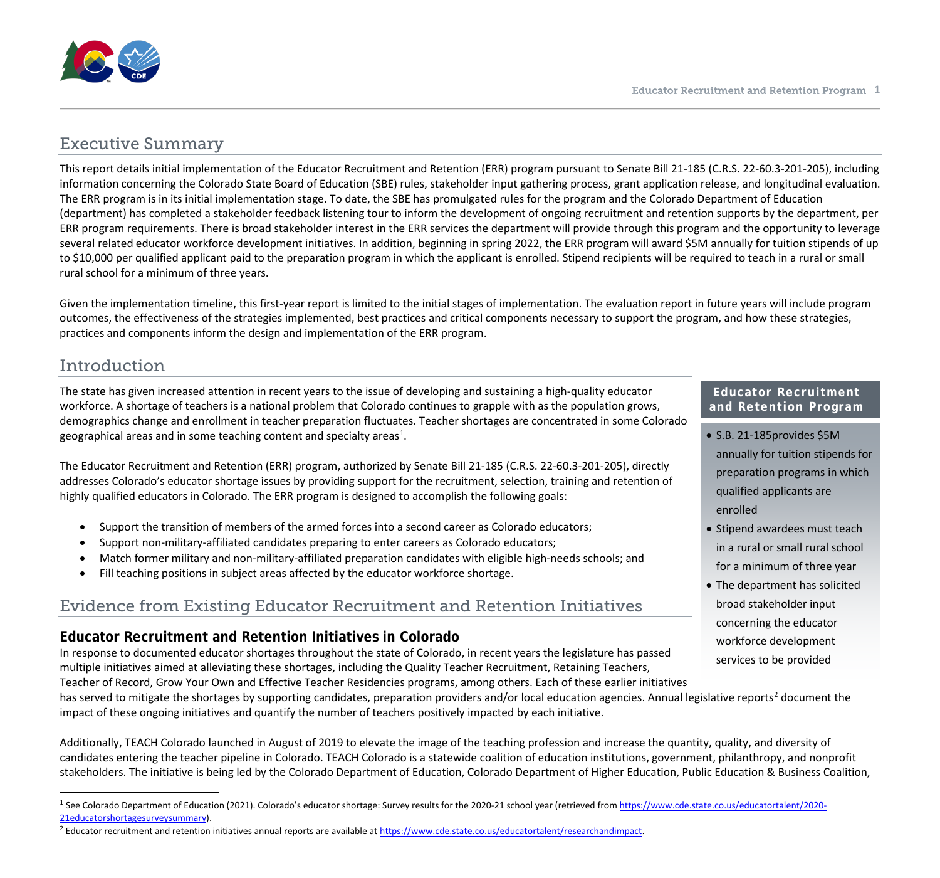

# <span id="page-2-0"></span>Executive Summary

This report details initial implementation of the Educator Recruitment and Retention (ERR) program pursuant to Senate Bill 21-185 (C.R.S. 22-60.3-201-205), including information concerning the Colorado State Board of Education (SBE) rules, stakeholder input gathering process, grant application release, and longitudinal evaluation. The ERR program is in its initial implementation stage. To date, the SBE has promulgated rules for the program and the Colorado Department of Education (department) has completed a stakeholder feedback listening tour to inform the development of ongoing recruitment and retention supports by the department, per ERR program requirements. There is broad stakeholder interest in the ERR services the department will provide through this program and the opportunity to leverage several related educator workforce development initiatives. In addition, beginning in spring 2022, the ERR program will award \$5M annually for tuition stipends of up to \$10,000 per qualified applicant paid to the preparation program in which the applicant is enrolled. Stipend recipients will be required to teach in a rural or small rural school for a minimum of three years.

Given the implementation timeline, this first-year report is limited to the initial stages of implementation. The evaluation report in future years will include program outcomes, the effectiveness of the strategies implemented, best practices and critical components necessary to support the program, and how these strategies, practices and components inform the design and implementation of the ERR program.

# <span id="page-2-1"></span>Introduction

The state has given increased attention in recent years to the issue of developing and sustaining a high-quality educator workforce. A shortage of teachers is a national problem that Colorado continues to grapple with as the population grows, demographics change and enrollment in teacher preparation fluctuates. Teacher shortages are concentrated in some Colorado geographical areas and in some teaching content and specialty areas<sup>[1](#page-2-4)</sup>.

The Educator Recruitment and Retention (ERR) program, authorized by Senate Bill 21-185 (C.R.S. 22-60.3-201-205), directly addresses Colorado's educator shortage issues by providing support for the recruitment, selection, training and retention of highly qualified educators in Colorado. The ERR program is designed to accomplish the following goals:

- Support the transition of members of the armed forces into a second career as Colorado educators;
- Support non-military-affiliated candidates preparing to enter careers as Colorado educators;
- Match former military and non-military-affiliated preparation candidates with eligible high-needs schools; and
- Fill teaching positions in subject areas affected by the educator workforce shortage.

# <span id="page-2-2"></span>Evidence from Existing Educator Recruitment and Retention Initiatives

# <span id="page-2-3"></span>**Educator Recruitment and Retention Initiatives in Colorado**

In response to documented educator shortages throughout the state of Colorado, in recent years the legislature has passed multiple initiatives aimed at alleviating these shortages, including the Quality Teacher Recruitment, Retaining Teachers, Teacher of Record, Grow Your Own and Effective Teacher Residencies programs, among others. Each of these earlier initiatives

• Stipend awardees must teach in a rural or small rural school for a minimum of three year

**Educator Recruitment and Retention Program**

annually for tuition stipends for preparation programs in which

• S.B. 21-185provides \$5M

qualified applicants are

enrolled

• The department has solicited broad stakeholder input concerning the educator workforce development services to be provided

has served to mitigate the shortages by supporting candidates, preparation providers and/or local education agencies. Annual legislative reports<sup>[2](#page-2-5)</sup> document the impact of these ongoing initiatives and quantify the number of teachers positively impacted by each initiative.

Additionally, TEACH Colorado launched in August of 2019 to elevate the image of the teaching profession and increase the quantity, quality, and diversity of candidates entering the teacher pipeline in Colorado. TEACH Colorado is a statewide coalition of education institutions, government, philanthropy, and nonprofit stakeholders. The initiative is being led by the Colorado Department of Education, Colorado Department of Higher Education, Public Education & Business Coalition,

<span id="page-2-4"></span><sup>&</sup>lt;sup>1</sup> See Colorado Department of Education (2021). Colorado's educator shortage: Survey results for the 2020-21 school year (retrieved fro[m https://www.cde.state.co.us/educatortalent/2020-](https://www.cde.state.co.us/educatortalent/2020-21educatorshortagesurveysummary) [21educatorshortagesurveysummary\)](https://www.cde.state.co.us/educatortalent/2020-21educatorshortagesurveysummary).<br><sup>2</sup> Educator recruitment and retention initiatives annual reports are available at [https://www.cde.state.co.us/educatortalent/researchandimpact.](https://www.cde.state.co.us/educatortalent/researchandimpact)

<span id="page-2-5"></span>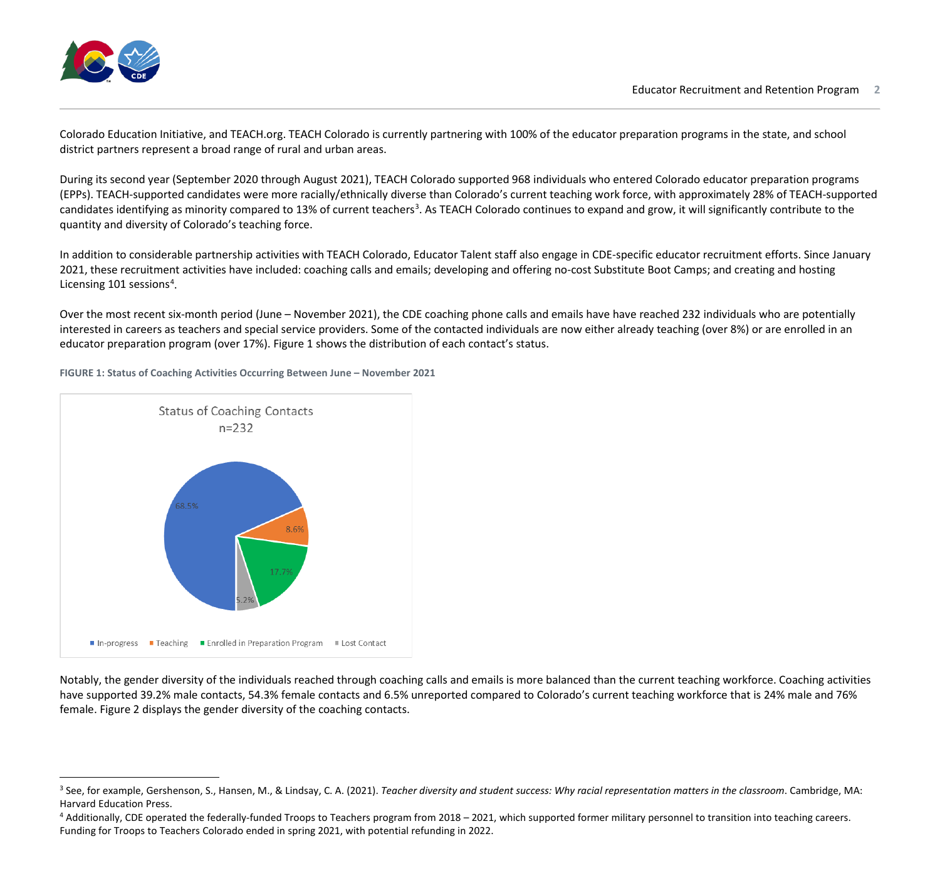

Colorado Education Initiative, and TEACH.org. TEACH Colorado is currently partnering with 100% of the educator preparation programs in the state, and school district partners represent a broad range of rural and urban areas.

During its second year (September 2020 through August 2021), TEACH Colorado supported 968 individuals who entered Colorado educator preparation programs (EPPs). TEACH-supported candidates were more racially/ethnically diverse than Colorado's current teaching work force, with approximately 28% of TEACH-supported candidates identifying as minority compared to 1[3](#page-3-0)% of current teachers<sup>3</sup>. As TEACH Colorado continues to expand and grow, it will significantly contribute to the quantity and diversity of Colorado's teaching force.

In addition to considerable partnership activities with TEACH Colorado, Educator Talent staff also engage in CDE-specific educator recruitment efforts. Since January 2021, these recruitment activities have included: coaching calls and emails; developing and offering no-cost Substitute Boot Camps; and creating and hosting Licensing 101 sessions<sup>[4](#page-3-1)</sup>.

Over the most recent six-month period (June – November 2021), the CDE coaching phone calls and emails have have reached 232 individuals who are potentially interested in careers as teachers and special service providers. Some of the contacted individuals are now either already teaching (over 8%) or are enrolled in an educator preparation program (over 17%). Figure 1 shows the distribution of each contact's status.



**FIGURE 1: Status of Coaching Activities Occurring Between June – November 2021**

Notably, the gender diversity of the individuals reached through coaching calls and emails is more balanced than the current teaching workforce. Coaching activities have supported 39.2% male contacts, 54.3% female contacts and 6.5% unreported compared to Colorado's current teaching workforce that is 24% male and 76% female. Figure 2 displays the gender diversity of the coaching contacts.

<span id="page-3-0"></span><sup>3</sup> See, for example, Gershenson, S., Hansen, M., & Lindsay, C. A. (2021). *Teacher diversity and student success: Why racial representation matters in the classroom*. Cambridge, MA: Harvard Education Press.

<span id="page-3-1"></span><sup>4</sup> Additionally, CDE operated the federally-funded Troops to Teachers program from 2018 – 2021, which supported former military personnel to transition into teaching careers. Funding for Troops to Teachers Colorado ended in spring 2021, with potential refunding in 2022.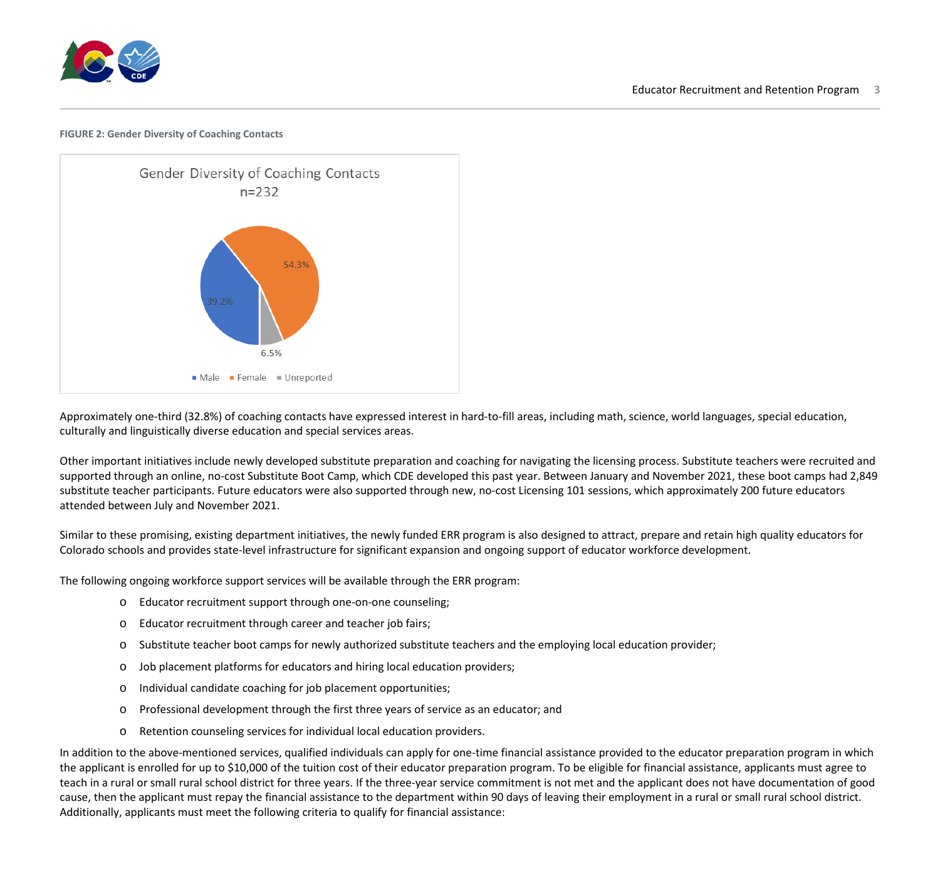

#### **FIGURE 2: Gender Diversity of Coaching Contacts**



Approximately one-third (32.8%) of coaching contacts have expressed interest in hard-to-fill areas, including math, science, world languages, special education, culturally and linguistically diverse education and special services areas.

Other important initiatives include newly developed substitute preparation and coaching for navigating the licensing process. Substitute teachers were recruited and supported through an online, no-cost Substitute Boot Camp, which CDE developed this past year. Between January and November 2021, these boot camps had 2,849 substitute teacher participants. Future educators were also supported through new, no-cost Licensing 101 sessions, which approximately 200 future educators attended between July and November 2021.

Similar to these promising, existing department initiatives, the newly funded ERR program is also designed to attract, prepare and retain high quality educators for Colorado schools and provides state-level infrastructure for significant expansion and ongoing support of educator workforce development.

The following ongoing workforce support services will be available through the ERR program:

- o Educator recruitment support through one-on-one counseling;
- o Educator recruitment through career and teacher job fairs;
- o Substitute teacher boot camps for newly authorized substitute teachers and the employing local education provider;
- o Job placement platforms for educators and hiring local education providers;
- o Individual candidate coaching for job placement opportunities;
- o Professional development through the first three years of service as an educator; and
- o Retention counseling services for individual local education providers.

In addition to the above-mentioned services, qualified individuals can apply for one-time financial assistance provided to the educator preparation program in which the applicant is enrolled for up to \$10,000 of the tuition cost of their educator preparation program. To be eligible for financial assistance, applicants must agree to teach in a rural or small rural school district for three years. If the three-year service commitment is not met and the applicant does not have documentation of good cause, then the applicant must repay the financial assistance to the department within 90 days of leaving their employment in a rural or small rural school district. Additionally, applicants must meet the following criteria to qualify for financial assistance: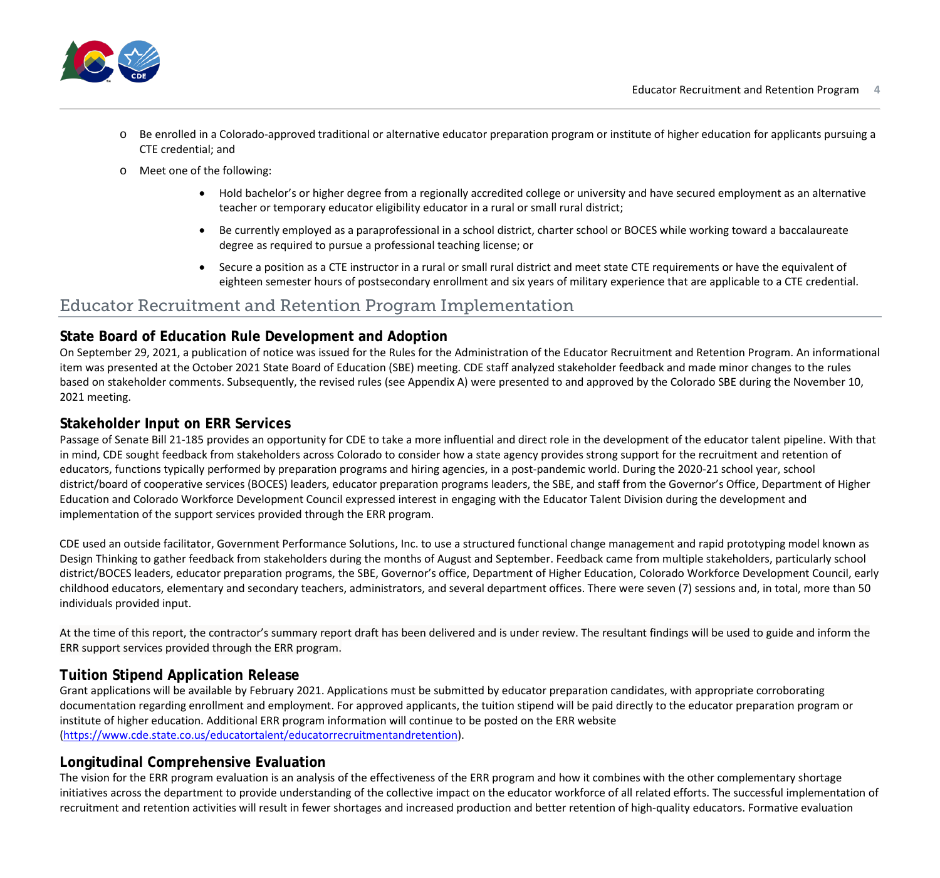

- o Be enrolled in a Colorado-approved traditional or alternative educator preparation program or institute of higher education for applicants pursuing a CTE credential; and
- o Meet one of the following:
	- Hold bachelor's or higher degree from a regionally accredited college or university and have secured employment as an alternative teacher or temporary educator eligibility educator in a rural or small rural district;
	- Be currently employed as a paraprofessional in a school district, charter school or BOCES while working toward a baccalaureate degree as required to pursue a professional teaching license; or
	- Secure a position as a CTE instructor in a rural or small rural district and meet state CTE requirements or have the equivalent of eighteen semester hours of postsecondary enrollment and six years of military experience that are applicable to a CTE credential.

# <span id="page-5-0"></span>Educator Recruitment and Retention Program Implementation

# <span id="page-5-1"></span>**State Board of Education Rule Development and Adoption**

On September 29, 2021, a publication of notice was issued for the Rules for the Administration of the Educator Recruitment and Retention Program. An informational item was presented at the October 2021 State Board of Education (SBE) meeting. CDE staff analyzed stakeholder feedback and made minor changes to the rules based on stakeholder comments. Subsequently, the revised rules (see Appendix A) were presented to and approved by the Colorado SBE during the November 10, 2021 meeting.

### <span id="page-5-2"></span>**Stakeholder Input on ERR Services**

Passage of Senate Bill 21-185 provides an opportunity for CDE to take a more influential and direct role in the development of the educator talent pipeline. With that in mind, CDE sought feedback from stakeholders across Colorado to consider how a state agency provides strong support for the recruitment and retention of educators, functions typically performed by preparation programs and hiring agencies, in a post-pandemic world. During the 2020-21 school year, school district/board of cooperative services (BOCES) leaders, educator preparation programs leaders, the SBE, and staff from the Governor's Office, Department of Higher Education and Colorado Workforce Development Council expressed interest in engaging with the Educator Talent Division during the development and implementation of the support services provided through the ERR program.

CDE used an outside facilitator, Government Performance Solutions, Inc. to use a structured functional change management and rapid prototyping model known as Design Thinking to gather feedback from stakeholders during the months of August and September. Feedback came from multiple stakeholders, particularly school district/BOCES leaders, educator preparation programs, the SBE, Governor's office, Department of Higher Education, Colorado Workforce Development Council, early childhood educators, elementary and secondary teachers, administrators, and several department offices. There were seven (7) sessions and, in total, more than 50 individuals provided input.

At the time of this report, the contractor's summary report draft has been delivered and is under review. The resultant findings will be used to guide and inform the ERR support services provided through the ERR program.

# <span id="page-5-3"></span>**Tuition Stipend Application Release**

Grant applications will be available by February 2021. Applications must be submitted by educator preparation candidates, with appropriate corroborating documentation regarding enrollment and employment. For approved applicants, the tuition stipend will be paid directly to the educator preparation program or institute of higher education. Additional ERR program information will continue to be posted on the ERR website [\(https://www.cde.state.co.us/educatortalent/educatorrecruitmentandretention\)](https://www.cde.state.co.us/educatortalent/educatorrecruitmentandretention).

# <span id="page-5-4"></span>**Longitudinal Comprehensive Evaluation**

The vision for the ERR program evaluation is an analysis of the effectiveness of the ERR program and how it combines with the other complementary shortage initiatives across the department to provide understanding of the collective impact on the educator workforce of all related efforts. The successful implementation of recruitment and retention activities will result in fewer shortages and increased production and better retention of high-quality educators. Formative evaluation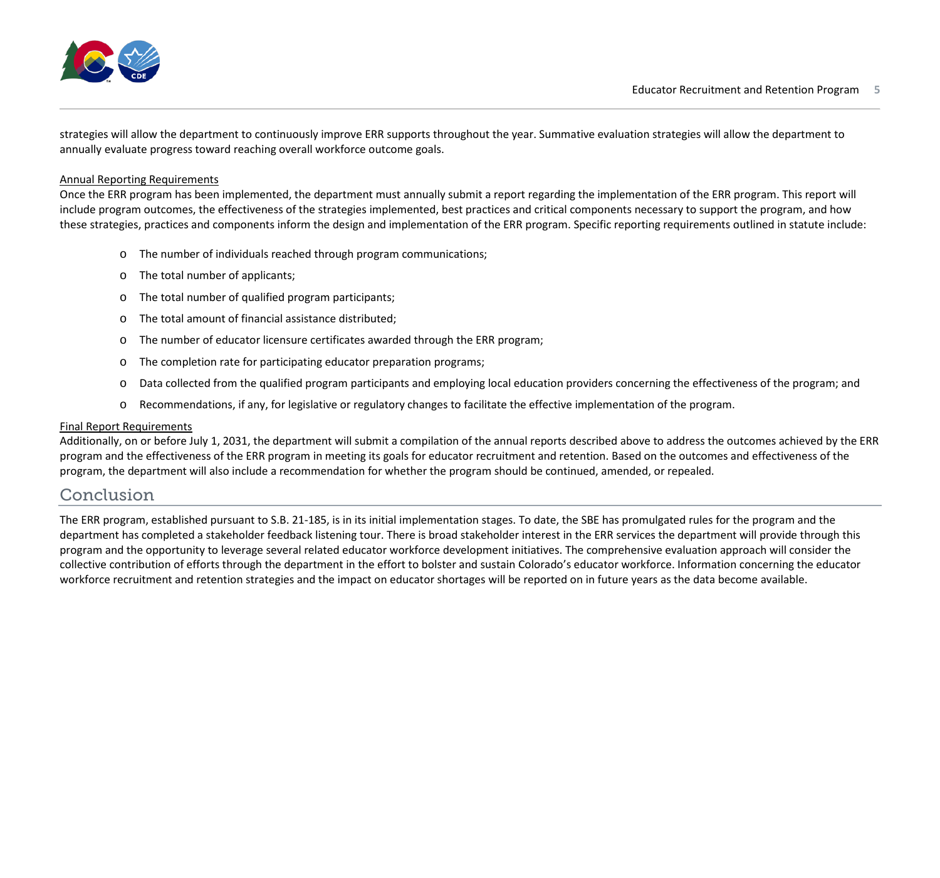

strategies will allow the department to continuously improve ERR supports throughout the year. Summative evaluation strategies will allow the department to annually evaluate progress toward reaching overall workforce outcome goals.

#### Annual Reporting Requirements

Once the ERR program has been implemented, the department must annually submit a report regarding the implementation of the ERR program. This report will include program outcomes, the effectiveness of the strategies implemented, best practices and critical components necessary to support the program, and how these strategies, practices and components inform the design and implementation of the ERR program. Specific reporting requirements outlined in statute include:

- o The number of individuals reached through program communications;
- o The total number of applicants;
- o The total number of qualified program participants;
- o The total amount of financial assistance distributed;
- o The number of educator licensure certificates awarded through the ERR program;
- o The completion rate for participating educator preparation programs;
- o Data collected from the qualified program participants and employing local education providers concerning the effectiveness of the program; and
- o Recommendations, if any, for legislative or regulatory changes to facilitate the effective implementation of the program.

#### Final Report Requirements

Additionally, on or before July 1, 2031, the department will submit a compilation of the annual reports described above to address the outcomes achieved by the ERR program and the effectiveness of the ERR program in meeting its goals for educator recruitment and retention. Based on the outcomes and effectiveness of the program, the department will also include a recommendation for whether the program should be continued, amended, or repealed.

# <span id="page-6-0"></span>Conclusion

The ERR program, established pursuant to S.B. 21-185, is in its initial implementation stages. To date, the SBE has promulgated rules for the program and the department has completed a stakeholder feedback listening tour. There is broad stakeholder interest in the ERR services the department will provide through this program and the opportunity to leverage several related educator workforce development initiatives. The comprehensive evaluation approach will consider the collective contribution of efforts through the department in the effort to bolster and sustain Colorado's educator workforce. Information concerning the educator workforce recruitment and retention strategies and the impact on educator shortages will be reported on in future years as the data become available.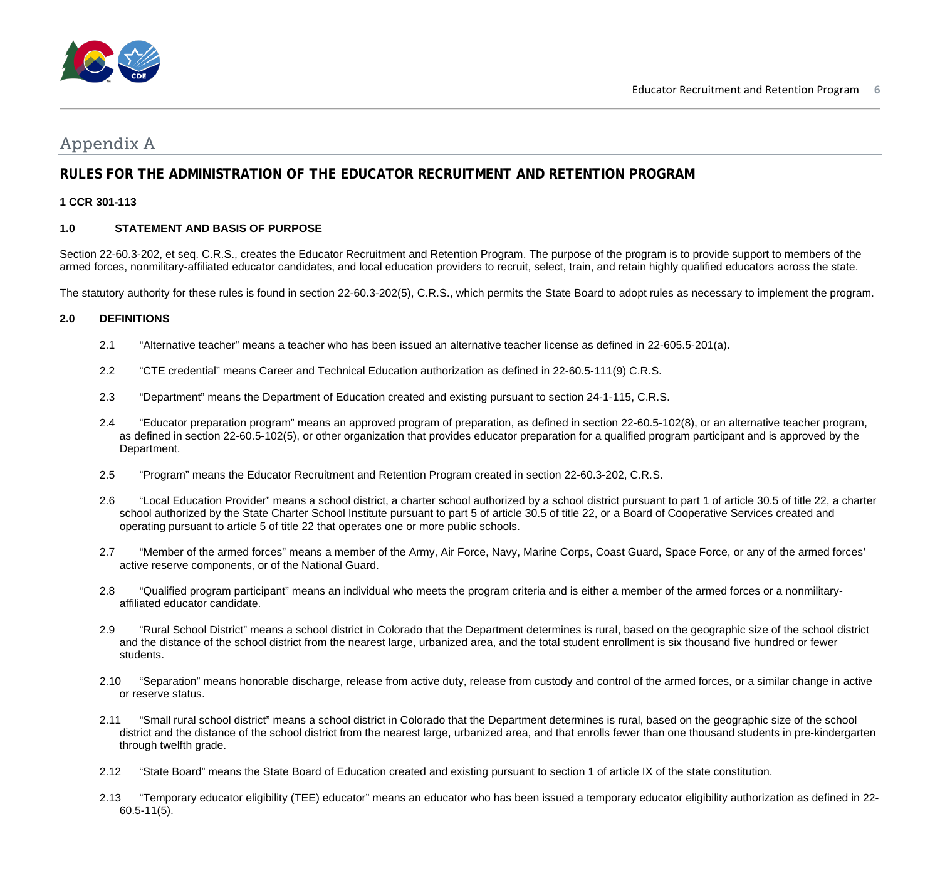

# <span id="page-7-0"></span>Appendix A

# <span id="page-7-1"></span>**RULES FOR THE ADMINISTRATION OF THE EDUCATOR RECRUITMENT AND RETENTION PROGRAM**

#### <span id="page-7-2"></span>**1 CCR 301-113**

#### **1.0 STATEMENT AND BASIS OF PURPOSE**

Section 22-60.3-202, et seq. C.R.S., creates the Educator Recruitment and Retention Program. The purpose of the program is to provide support to members of the armed forces, nonmilitary-affiliated educator candidates, and local education providers to recruit, select, train, and retain highly qualified educators across the state.

<span id="page-7-3"></span>The statutory authority for these rules is found in section 22-60.3-202(5), C.R.S., which permits the State Board to adopt rules as necessary to implement the program.

#### **2.0 DEFINITIONS**

- 2.1 "Alternative teacher" means a teacher who has been issued an alternative teacher license as defined in 22-605.5-201(a).
- 2.2 "CTE credential" means Career and Technical Education authorization as defined in 22-60.5-111(9) C.R.S.
- 2.3 "Department" means the Department of Education created and existing pursuant to section 24-1-115, C.R.S.
- 2.4 "Educator preparation program" means an approved program of preparation, as defined in section 22-60.5-102(8), or an alternative teacher program, as defined in section 22-60.5-102(5), or other organization that provides educator preparation for a qualified program participant and is approved by the Department.
- 2.5 "Program" means the Educator Recruitment and Retention Program created in section 22-60.3-202, C.R.S.
- 2.6 "Local Education Provider" means a school district, a charter school authorized by a school district pursuant to part 1 of article 30.5 of title 22, a charter school authorized by the State Charter School Institute pursuant to part 5 of article 30.5 of title 22, or a Board of Cooperative Services created and operating pursuant to article 5 of title 22 that operates one or more public schools.
- 2.7 "Member of the armed forces" means a member of the Army, Air Force, Navy, Marine Corps, Coast Guard, Space Force, or any of the armed forces' active reserve components, or of the National Guard.
- 2.8 "Qualified program participant" means an individual who meets the program criteria and is either a member of the armed forces or a nonmilitaryaffiliated educator candidate.
- 2.9 "Rural School District" means a school district in Colorado that the Department determines is rural, based on the geographic size of the school district and the distance of the school district from the nearest large, urbanized area, and the total student enrollment is six thousand five hundred or fewer students.
- 2.10 "Separation" means honorable discharge, release from active duty, release from custody and control of the armed forces, or a similar change in active or reserve status.
- 2.11 "Small rural school district" means a school district in Colorado that the Department determines is rural, based on the geographic size of the school district and the distance of the school district from the nearest large, urbanized area, and that enrolls fewer than one thousand students in pre-kindergarten through twelfth grade.
- 2.12 "State Board" means the State Board of Education created and existing pursuant to section 1 of article IX of the state constitution.
- 2.13 "Temporary educator eligibility (TEE) educator" means an educator who has been issued a temporary educator eligibility authorization as defined in 22- 60.5-11(5).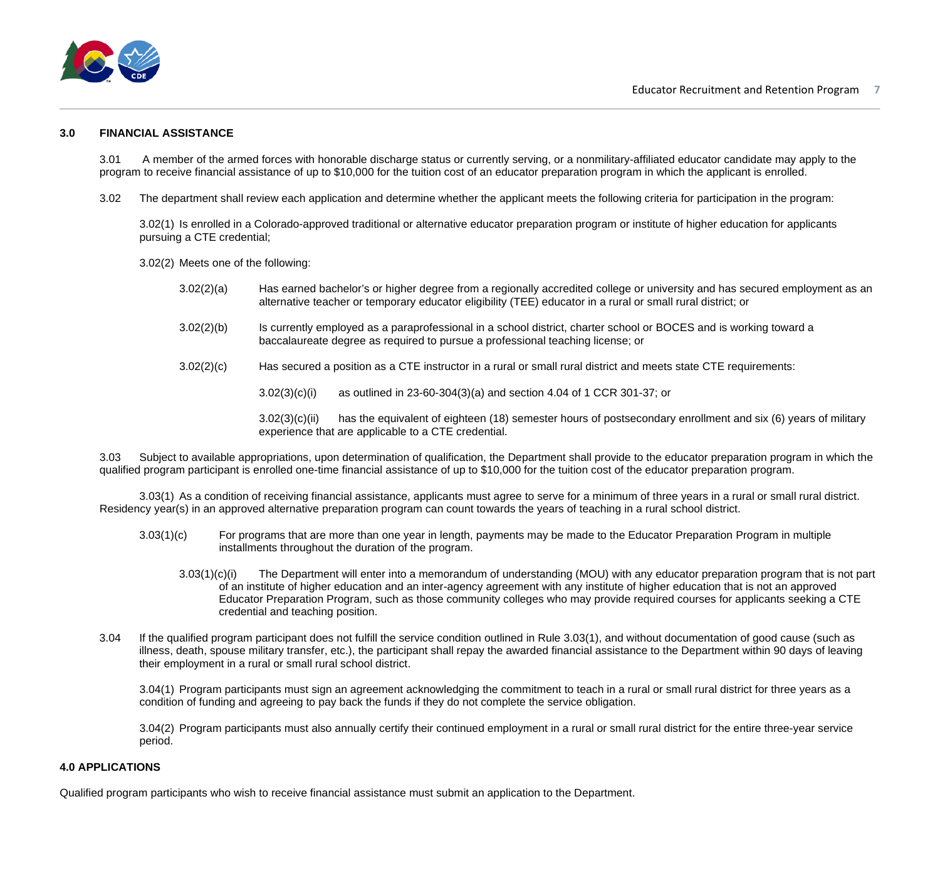

#### <span id="page-8-0"></span>**3.0 FINANCIAL ASSISTANCE**

3.01 A member of the armed forces with honorable discharge status or currently serving, or a nonmilitary-affiliated educator candidate may apply to the program to receive financial assistance of up to \$10,000 for the tuition cost of an educator preparation program in which the applicant is enrolled.

3.02 The department shall review each application and determine whether the applicant meets the following criteria for participation in the program:

3.02(1) Is enrolled in a Colorado-approved traditional or alternative educator preparation program or institute of higher education for applicants pursuing a CTE credential;

3.02(2) Meets one of the following:

- 3.02(2)(a) Has earned bachelor's or higher degree from a regionally accredited college or university and has secured employment as an alternative teacher or temporary educator eligibility (TEE) educator in a rural or small rural district; or
- 3.02(2)(b) Is currently employed as a paraprofessional in a school district, charter school or BOCES and is working toward a baccalaureate degree as required to pursue a professional teaching license; or
- 3.02(2)(c) Has secured a position as a CTE instructor in a rural or small rural district and meets state CTE requirements:

3.02(3)(c)(i) as outlined in 23-60-304(3)(a) and section 4.04 of 1 CCR 301-37; or

3.02(3)(c)(ii) has the equivalent of eighteen (18) semester hours of postsecondary enrollment and six (6) years of military experience that are applicable to a CTE credential.

3.03 Subject to available appropriations, upon determination of qualification, the Department shall provide to the educator preparation program in which the qualified program participant is enrolled one-time financial assistance of up to \$10,000 for the tuition cost of the educator preparation program.

3.03(1) As a condition of receiving financial assistance, applicants must agree to serve for a minimum of three years in a rural or small rural district. Residency year(s) in an approved alternative preparation program can count towards the years of teaching in a rural school district.

- 3.03(1)(c) For programs that are more than one year in length, payments may be made to the Educator Preparation Program in multiple installments throughout the duration of the program.
	- 3.03(1)(c)(i) The Department will enter into a memorandum of understanding (MOU) with any educator preparation program that is not part of an institute of higher education and an inter-agency agreement with any institute of higher education that is not an approved Educator Preparation Program, such as those community colleges who may provide required courses for applicants seeking a CTE credential and teaching position.
- 3.04 If the qualified program participant does not fulfill the service condition outlined in Rule 3.03(1), and without documentation of good cause (such as illness, death, spouse military transfer, etc.), the participant shall repay the awarded financial assistance to the Department within 90 days of leaving their employment in a rural or small rural school district.

3.04(1) Program participants must sign an agreement acknowledging the commitment to teach in a rural or small rural district for three years as a condition of funding and agreeing to pay back the funds if they do not complete the service obligation.

3.04(2) Program participants must also annually certify their continued employment in a rural or small rural district for the entire three-year service period.

#### <span id="page-8-1"></span>**4.0 APPLICATIONS**

Qualified program participants who wish to receive financial assistance must submit an application to the Department.